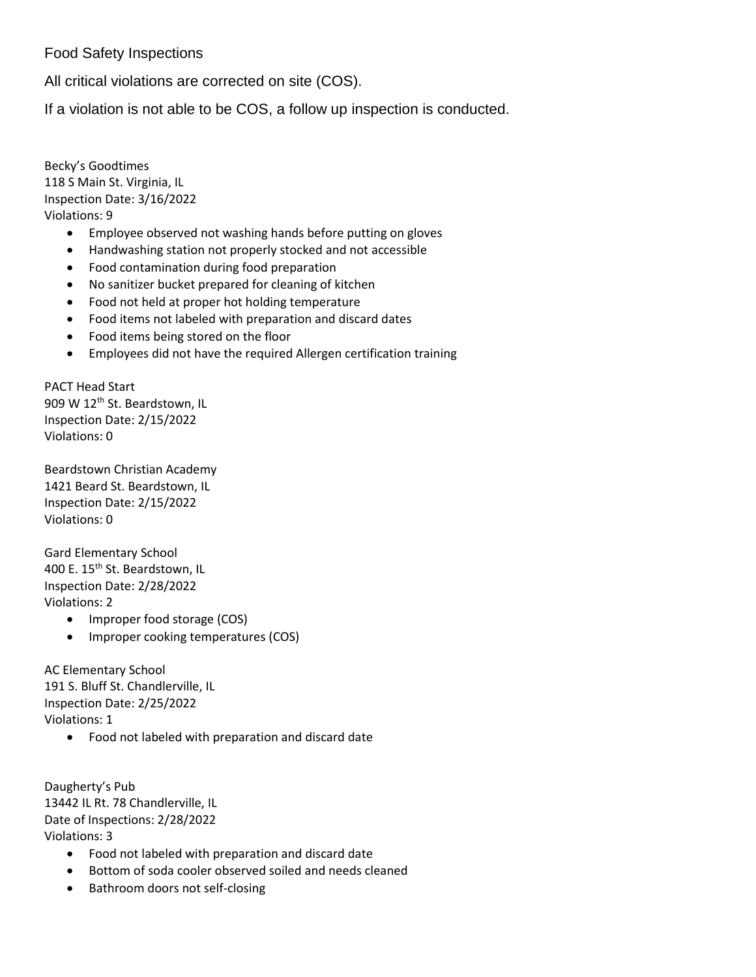## Food Safety Inspections

All critical violations are corrected on site (COS).

If a violation is not able to be COS, a follow up inspection is conducted.

Becky's Goodtimes 118 S Main St. Virginia, IL Inspection Date: 3/16/2022 Violations: 9

- Employee observed not washing hands before putting on gloves
- Handwashing station not properly stocked and not accessible
- Food contamination during food preparation
- No sanitizer bucket prepared for cleaning of kitchen
- Food not held at proper hot holding temperature
- Food items not labeled with preparation and discard dates
- Food items being stored on the floor
- Employees did not have the required Allergen certification training

PACT Head Start 909 W 12<sup>th</sup> St. Beardstown, IL Inspection Date: 2/15/2022 Violations: 0

Beardstown Christian Academy 1421 Beard St. Beardstown, IL Inspection Date: 2/15/2022 Violations: 0

Gard Elementary School 400 E. 15<sup>th</sup> St. Beardstown, IL Inspection Date: 2/28/2022 Violations: 2

- Improper food storage (COS)
- Improper cooking temperatures (COS)

AC Elementary School 191 S. Bluff St. Chandlerville, IL Inspection Date: 2/25/2022 Violations: 1

Food not labeled with preparation and discard date

Daugherty's Pub 13442 IL Rt. 78 Chandlerville, IL Date of Inspections: 2/28/2022 Violations: 3

- Food not labeled with preparation and discard date
- Bottom of soda cooler observed soiled and needs cleaned
- Bathroom doors not self-closing